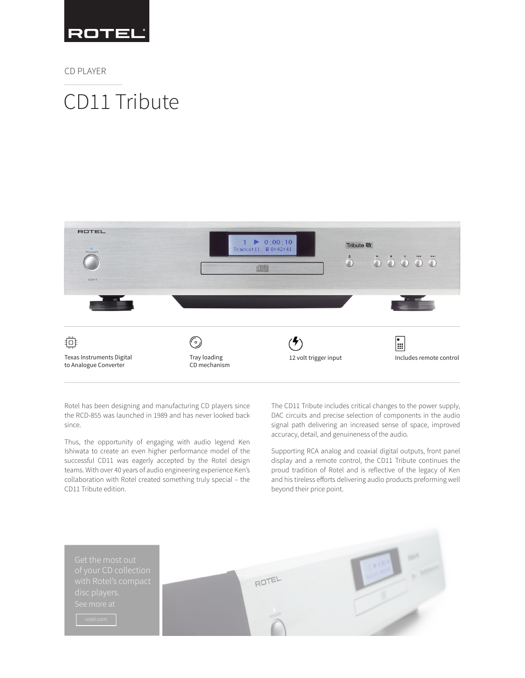

CD PLAYER

# CD11 Tribute



Rotel has been designing and manufacturing CD players since the RCD-855 was launched in 1989 and has never looked back since.

Thus, the opportunity of engaging with audio legend Ken Ishiwata to create an even higher performance model of the successful CD11 was eagerly accepted by the Rotel design teams. With over 40 years of audio engineering experience Ken's collaboration with Rotel created something truly special – the CD11 Tribute edition.

The CD11 Tribute includes critical changes to the power supply, DAC circuits and precise selection of components in the audio signal path delivering an increased sense of space, improved accuracy, detail, and genuineness of the audio.

Supporting RCA analog and coaxial digital outputs, front panel display and a remote control, the CD11 Tribute continues the proud tradition of Rotel and is reflective of the legacy of Ken and his tireless efforts delivering audio products preforming well beyond their price point.